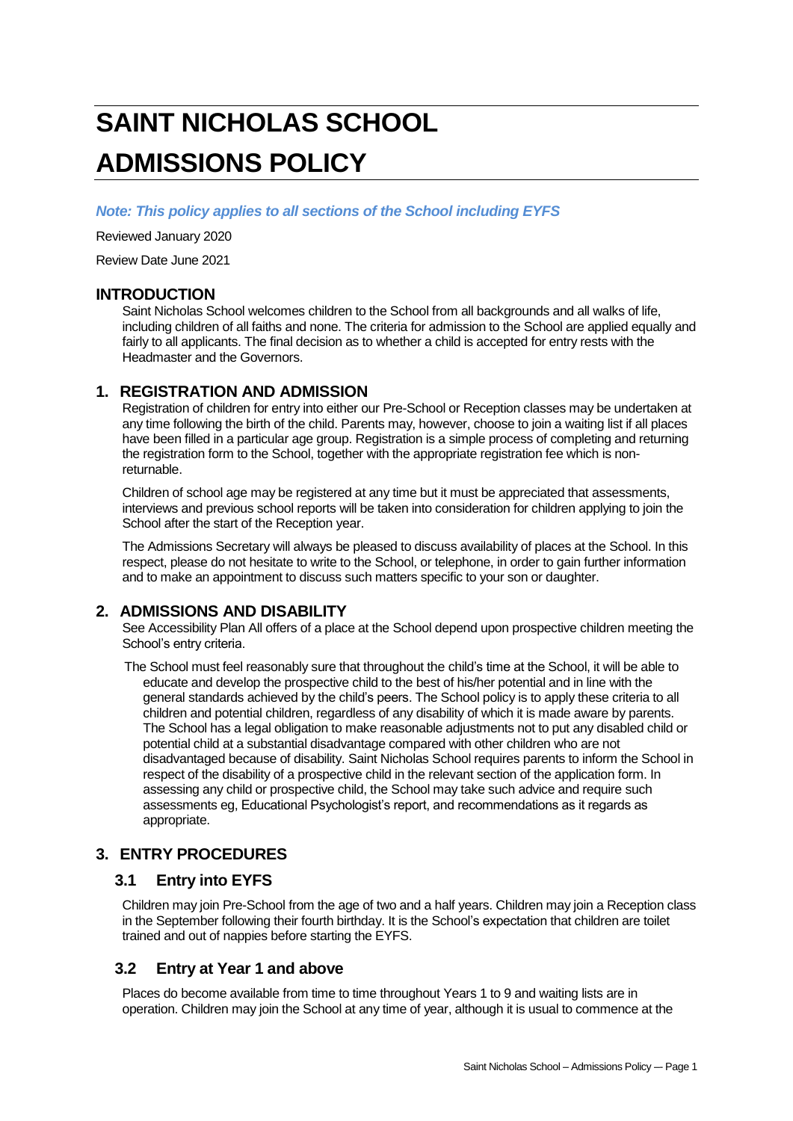# **SAINT NICHOLAS SCHOOL ADMISSIONS POLICY**

*Note: This policy applies to all sections of the School including EYFS*

Reviewed January 2020

Review Date June 2021

## **INTRODUCTION**

Saint Nicholas School welcomes children to the School from all backgrounds and all walks of life, including children of all faiths and none. The criteria for admission to the School are applied equally and fairly to all applicants. The final decision as to whether a child is accepted for entry rests with the Headmaster and the Governors.

# **1. REGISTRATION AND ADMISSION**

Registration of children for entry into either our Pre-School or Reception classes may be undertaken at any time following the birth of the child. Parents may, however, choose to join a waiting list if all places have been filled in a particular age group. Registration is a simple process of completing and returning the registration form to the School, together with the appropriate registration fee which is nonreturnable.

Children of school age may be registered at any time but it must be appreciated that assessments, interviews and previous school reports will be taken into consideration for children applying to join the School after the start of the Reception year.

The Admissions Secretary will always be pleased to discuss availability of places at the School. In this respect, please do not hesitate to write to the School, or telephone, in order to gain further information and to make an appointment to discuss such matters specific to your son or daughter.

# **2. ADMISSIONS AND DISABILITY**

See Accessibility Plan All offers of a place at the School depend upon prospective children meeting the School's entry criteria.

The School must feel reasonably sure that throughout the child's time at the School, it will be able to educate and develop the prospective child to the best of his/her potential and in line with the general standards achieved by the child's peers. The School policy is to apply these criteria to all children and potential children, regardless of any disability of which it is made aware by parents. The School has a legal obligation to make reasonable adjustments not to put any disabled child or potential child at a substantial disadvantage compared with other children who are not disadvantaged because of disability. Saint Nicholas School requires parents to inform the School in respect of the disability of a prospective child in the relevant section of the application form. In assessing any child or prospective child, the School may take such advice and require such assessments eg, Educational Psychologist's report, and recommendations as it regards as appropriate.

# **3. ENTRY PROCEDURES**

# **3.1 Entry into EYFS**

Children may join Pre-School from the age of two and a half years. Children may join a Reception class in the September following their fourth birthday. It is the School's expectation that children are toilet trained and out of nappies before starting the EYFS.

# **3.2 Entry at Year 1 and above**

Places do become available from time to time throughout Years 1 to 9 and waiting lists are in operation. Children may join the School at any time of year, although it is usual to commence at the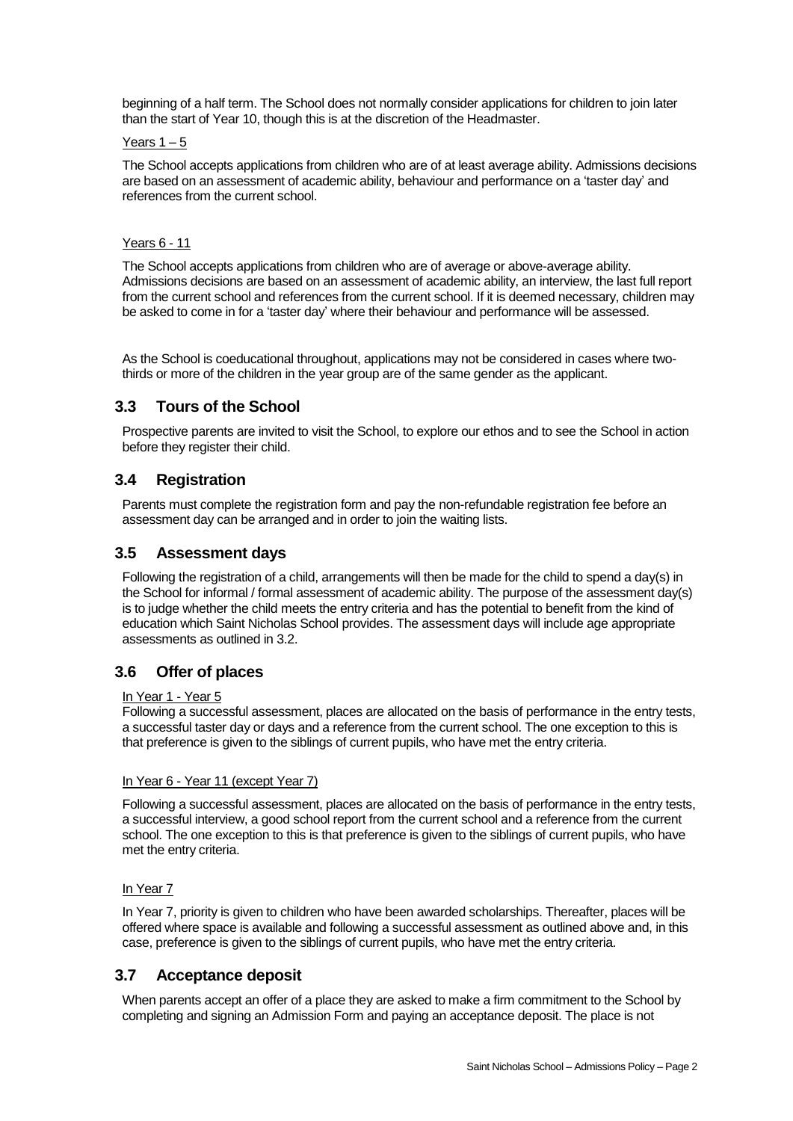beginning of a half term. The School does not normally consider applications for children to join later than the start of Year 10, though this is at the discretion of the Headmaster.

#### Years  $1 - 5$

The School accepts applications from children who are of at least average ability. Admissions decisions are based on an assessment of academic ability, behaviour and performance on a 'taster day' and references from the current school.

## Years 6 - 11

The School accepts applications from children who are of average or above-average ability. Admissions decisions are based on an assessment of academic ability, an interview, the last full report from the current school and references from the current school. If it is deemed necessary, children may be asked to come in for a 'taster day' where their behaviour and performance will be assessed.

As the School is coeducational throughout, applications may not be considered in cases where twothirds or more of the children in the year group are of the same gender as the applicant.

# **3.3 Tours of the School**

Prospective parents are invited to visit the School, to explore our ethos and to see the School in action before they register their child.

# **3.4 Registration**

Parents must complete the registration form and pay the non-refundable registration fee before an assessment day can be arranged and in order to join the waiting lists.

# **3.5 Assessment days**

Following the registration of a child, arrangements will then be made for the child to spend a day(s) in the School for informal / formal assessment of academic ability. The purpose of the assessment day(s) is to judge whether the child meets the entry criteria and has the potential to benefit from the kind of education which Saint Nicholas School provides. The assessment days will include age appropriate assessments as outlined in 3.2.

# **3.6 Offer of places**

## In Year 1 - Year 5

Following a successful assessment, places are allocated on the basis of performance in the entry tests, a successful taster day or days and a reference from the current school. The one exception to this is that preference is given to the siblings of current pupils, who have met the entry criteria.

#### In Year 6 - Year 11 (except Year 7)

Following a successful assessment, places are allocated on the basis of performance in the entry tests, a successful interview, a good school report from the current school and a reference from the current school. The one exception to this is that preference is given to the siblings of current pupils, who have met the entry criteria.

## In Year 7

In Year 7, priority is given to children who have been awarded scholarships. Thereafter, places will be offered where space is available and following a successful assessment as outlined above and, in this case, preference is given to the siblings of current pupils, who have met the entry criteria.

# **3.7 Acceptance deposit**

When parents accept an offer of a place they are asked to make a firm commitment to the School by completing and signing an Admission Form and paying an acceptance deposit. The place is not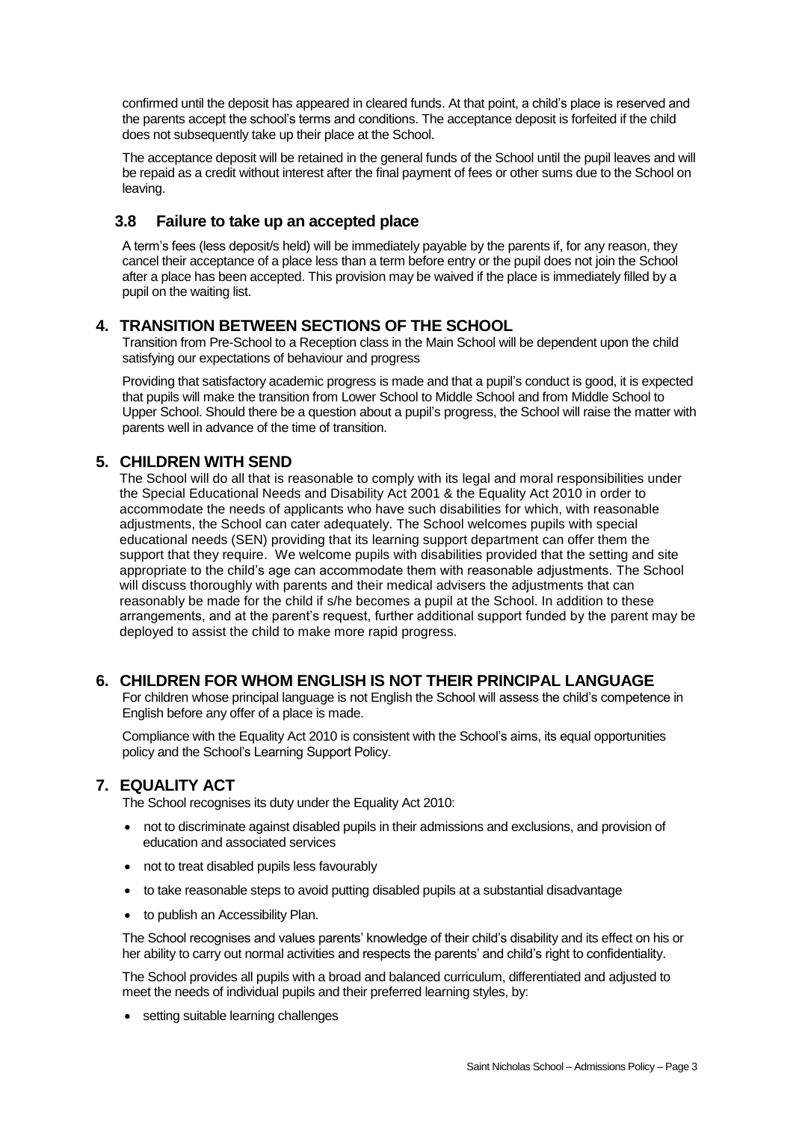confirmed until the deposit has appeared in cleared funds. At that point, a child's place is reserved and the parents accept the school's terms and conditions. The acceptance deposit is forfeited if the child does not subsequently take up their place at the School.

The acceptance deposit will be retained in the general funds of the School until the pupil leaves and will be repaid as a credit without interest after the final payment of fees or other sums due to the School on leaving.

# **3.8 Failure to take up an accepted place**

A term's fees (less deposit/s held) will be immediately payable by the parents if, for any reason, they cancel their acceptance of a place less than a term before entry or the pupil does not join the School after a place has been accepted. This provision may be waived if the place is immediately filled by a pupil on the waiting list.

# **4. TRANSITION BETWEEN SECTIONS OF THE SCHOOL**

Transition from Pre-School to a Reception class in the Main School will be dependent upon the child satisfying our expectations of behaviour and progress

Providing that satisfactory academic progress is made and that a pupil's conduct is good, it is expected that pupils will make the transition from Lower School to Middle School and from Middle School to Upper School. Should there be a question about a pupil's progress, the School will raise the matter with parents well in advance of the time of transition.

# **5. CHILDREN WITH SEND**

The School will do all that is reasonable to comply with its legal and moral responsibilities under the Special Educational Needs and Disability Act 2001 & the Equality Act 2010 in order to accommodate the needs of applicants who have such disabilities for which, with reasonable adjustments, the School can cater adequately. The School welcomes pupils with special educational needs (SEN) providing that its learning support department can offer them the support that they require. We welcome pupils with disabilities provided that the setting and site appropriate to the child's age can accommodate them with reasonable adjustments. The School will discuss thoroughly with parents and their medical advisers the adjustments that can reasonably be made for the child if s/he becomes a pupil at the School. In addition to these arrangements, and at the parent's request, further additional support funded by the parent may be deployed to assist the child to make more rapid progress.

# **6. CHILDREN FOR WHOM ENGLISH IS NOT THEIR PRINCIPAL LANGUAGE**

For children whose principal language is not English the School will assess the child's competence in English before any offer of a place is made.

Compliance with the Equality Act 2010 is consistent with the School's aims, its equal opportunities policy and the School's Learning Support Policy.

# **7. EQUALITY ACT**

The School recognises its duty under the Equality Act 2010:

- not to discriminate against disabled pupils in their admissions and exclusions, and provision of education and associated services
- not to treat disabled pupils less favourably
- to take reasonable steps to avoid putting disabled pupils at a substantial disadvantage
- to publish an Accessibility Plan.

The School recognises and values parents' knowledge of their child's disability and its effect on his or her ability to carry out normal activities and respects the parents' and child's right to confidentiality.

The School provides all pupils with a broad and balanced curriculum, differentiated and adjusted to meet the needs of individual pupils and their preferred learning styles, by:

• setting suitable learning challenges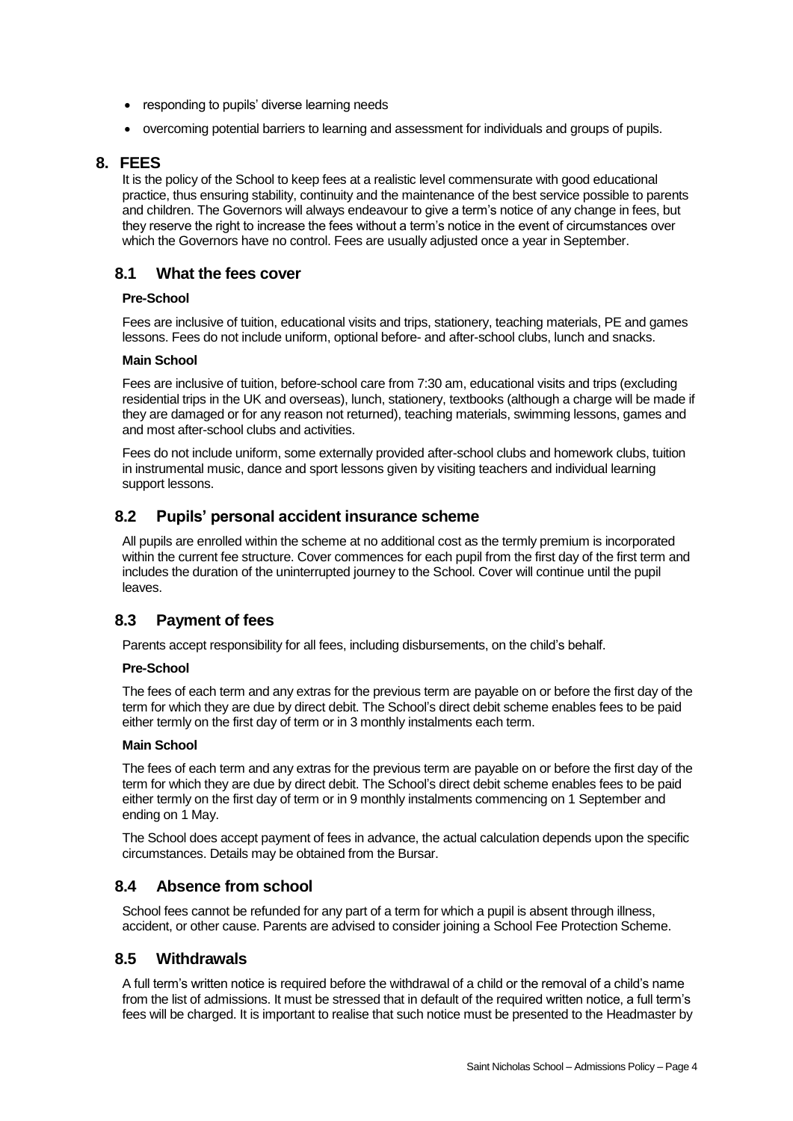- responding to pupils' diverse learning needs
- overcoming potential barriers to learning and assessment for individuals and groups of pupils.

## **8. FEES**

It is the policy of the School to keep fees at a realistic level commensurate with good educational practice, thus ensuring stability, continuity and the maintenance of the best service possible to parents and children. The Governors will always endeavour to give a term's notice of any change in fees, but they reserve the right to increase the fees without a term's notice in the event of circumstances over which the Governors have no control. Fees are usually adjusted once a year in September.

# **8.1 What the fees cover**

#### **Pre-School**

Fees are inclusive of tuition, educational visits and trips, stationery, teaching materials, PE and games lessons. Fees do not include uniform, optional before- and after-school clubs, lunch and snacks.

#### **Main School**

Fees are inclusive of tuition, before-school care from 7:30 am, educational visits and trips (excluding residential trips in the UK and overseas), lunch, stationery, textbooks (although a charge will be made if they are damaged or for any reason not returned), teaching materials, swimming lessons, games and and most after-school clubs and activities.

Fees do not include uniform, some externally provided after-school clubs and homework clubs, tuition in instrumental music, dance and sport lessons given by visiting teachers and individual learning support lessons.

# **8.2 Pupils' personal accident insurance scheme**

All pupils are enrolled within the scheme at no additional cost as the termly premium is incorporated within the current fee structure. Cover commences for each pupil from the first day of the first term and includes the duration of the uninterrupted journey to the School. Cover will continue until the pupil leaves.

# **8.3 Payment of fees**

Parents accept responsibility for all fees, including disbursements, on the child's behalf.

## **Pre-School**

The fees of each term and any extras for the previous term are payable on or before the first day of the term for which they are due by direct debit. The School's direct debit scheme enables fees to be paid either termly on the first day of term or in 3 monthly instalments each term.

#### **Main School**

The fees of each term and any extras for the previous term are payable on or before the first day of the term for which they are due by direct debit. The School's direct debit scheme enables fees to be paid either termly on the first day of term or in 9 monthly instalments commencing on 1 September and ending on 1 May.

The School does accept payment of fees in advance, the actual calculation depends upon the specific circumstances. Details may be obtained from the Bursar.

# **8.4 Absence from school**

School fees cannot be refunded for any part of a term for which a pupil is absent through illness, accident, or other cause. Parents are advised to consider joining a School Fee Protection Scheme.

# **8.5 Withdrawals**

A full term's written notice is required before the withdrawal of a child or the removal of a child's name from the list of admissions. It must be stressed that in default of the required written notice, a full term's fees will be charged. It is important to realise that such notice must be presented to the Headmaster by